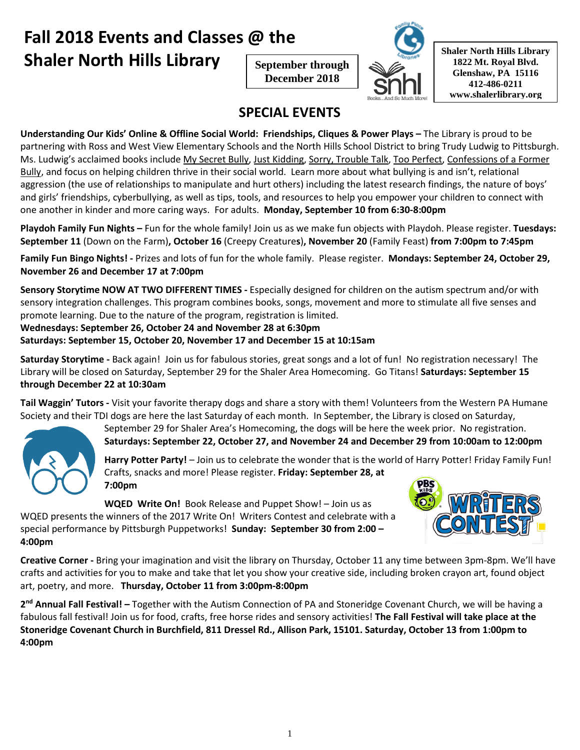# **Fall 2018 Events and Classes @ the Shaler North Hills Library Shaler North Hills** Library

**September through December 2018**



**1822 Mt. Royal Blvd. Glenshaw, PA 15116 412-486-0211 www.shalerlibrary.org**

### **SPECIAL EVENTS**

**Understanding Our Kids' Online & Offline Social World: Friendships, Cliques & Power Plays –** The Library is proud to be partnering with Ross and West View Elementary Schools and the North Hills School District to bring Trudy Ludwig to Pittsburgh. Ms. Ludwig's acclaimed books include My Secret Bully, Just Kidding, Sorry, Trouble Talk, Too Perfect, Confessions of a Former Bully, and focus on helping children thrive in their social world. Learn more about what bullying is and isn't, relational aggression (the use of relationships to manipulate and hurt others) including the latest research findings, the nature of boys' and girls' friendships, cyberbullying, as well as tips, tools, and resources to help you empower your children to connect with one another in kinder and more caring ways. For adults. **Monday, September 10 from 6:30-8:00pm**

**Playdoh Family Fun Nights –** Fun for the whole family! Join us as we make fun objects with Playdoh. Please register. **Tuesdays: September 11** (Down on the Farm)**, October 16** (Creepy Creature**s**)**, November 20** (Family Feast) **from 7:00pm to 7:45pm**

**Family Fun Bingo Nights! -** Prizes and lots of fun for the whole family. Please register. **Mondays: September 24, October 29, November 26 and December 17 at 7:00pm**

**Sensory Storytime NOW AT TWO DIFFERENT TIMES -** Especially designed for children on the autism spectrum and/or with sensory integration challenges. This program combines books, songs, movement and more to stimulate all five senses and promote learning. Due to the nature of the program, registration is limited.

**Wednesdays: September 26, October 24 and November 28 at 6:30pm**

**Saturdays: September 15, October 20, November 17 and December 15 at 10:15am**

**Saturday Storytime -** Back again! Join us for fabulous stories, great songs and a lot of fun! No registration necessary! The Library will be closed on Saturday, September 29 for the Shaler Area Homecoming. Go Titans! **Saturdays: September 15 through December 22 at 10:30am**

**Tail Waggin' Tutors -** Visit your favorite therapy dogs and share a story with them! Volunteers from the Western PA Humane Society and their TDI dogs are here the last Saturday of each month. In September, the Library is closed on Saturday,

September 29 for Shaler Area's Homecoming, the dogs will be here the week prior. No registration.

**Saturdays: September 22, October 27, and November 24 and December 29 from 10:00am to 12:00pm**

**Harry Potter Party!** – Join us to celebrate the wonder that is the world of Harry Potter! Friday Family Fun! Crafts, snacks and more! Please register. **Friday: September 28, at 7:00pm**

**WQED Write On!** Book Release and Puppet Show! – Join us as

WQED presents the winners of the 2017 Write On! Writers Contest and celebrate with a special performance by Pittsburgh Puppetworks! **Sunday: September 30 from 2:00 – 4:00pm**



**Creative Corner -** Bring your imagination and visit the library on Thursday, October 11 any time between 3pm-8pm. We'll have crafts and activities for you to make and take that let you show your creative side, including broken crayon art, found object art, poetry, and more. **Thursday, October 11 from 3:00pm-8:00pm**

**2nd Annual Fall Festival! –** Together with the Autism Connection of PA and Stoneridge Covenant Church, we will be having a fabulous fall festival! Join us for food, crafts, free horse rides and sensory activities! **The Fall Festival will take place at the** Stoneridge Covenant Church in Burchfield, 811 Dressel Rd., Allison Park, 15101. Saturday, October 13 from 1:00pm to **4:00pm**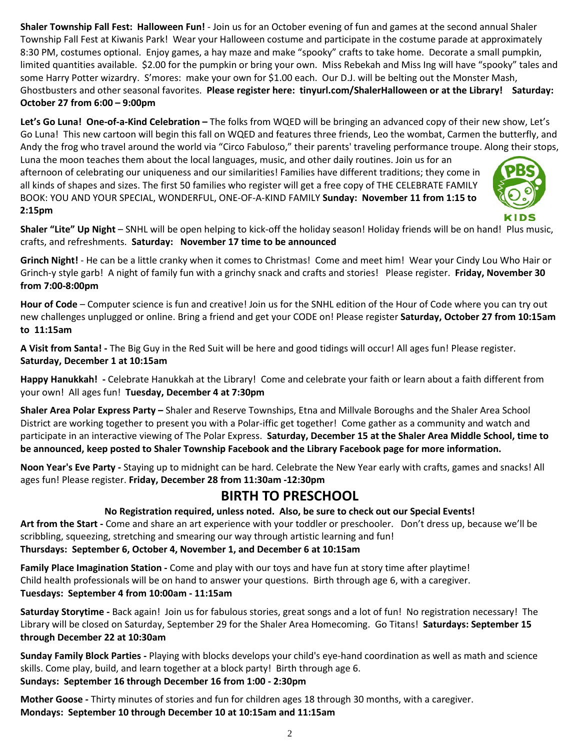**Shaler Township Fall Fest: Halloween Fun!** - Join us for an October evening of fun and games at the second annual Shaler Township Fall Fest at Kiwanis Park! Wear your Halloween costume and participate in the costume parade at approximately 8:30 PM, costumes optional. Enjoy games, a hay maze and make "spooky" crafts to take home. Decorate a small pumpkin, limited quantities available. \$2.00 for the pumpkin or bring your own. Miss Rebekah and Miss Ing will have "spooky" tales and some Harry Potter wizardry. S'mores: make your own for \$1.00 each. Our D.J. will be belting out the Monster Mash, Ghostbusters and other seasonal favorites. **Please register here: tinyurl.com/ShalerHalloween or at the Library! Saturday: October 27 from 6:00 – 9:00pm** 

**Let's Go Luna! One-of-a-Kind Celebration –** The folks from WQED will be bringing an advanced copy of their new show, Let's Go Luna! This new cartoon will begin this fall on WQED and features three friends, Leo the wombat, Carmen the butterfly, and Andy the frog who travel around the world via "Circo Fabuloso," their parents' traveling performance troupe. Along their stops,

Luna the moon teaches them about the local languages, music, and other daily routines. Join us for an afternoon of celebrating our uniqueness and our similarities! Families have different traditions; they come in all kinds of shapes and sizes. The first 50 families who register will get a free copy of THE CELEBRATE FAMILY BOOK: YOU AND YOUR SPECIAL, WONDERFUL, ONE-OF-A-KIND FAMILY **Sunday: November 11 from 1:15 to 2:15pm**



**Shaler "Lite" Up Night** – SNHL will be open helping to kick-off the holiday season! Holiday friends will be on hand! Plus music, crafts, and refreshments. **Saturday: November 17 time to be announced**

**Grinch Night!** - He can be a little cranky when it comes to Christmas! Come and meet him! Wear your Cindy Lou Who Hair or Grinch-y style garb! A night of family fun with a grinchy snack and crafts and stories! Please register. **Friday, November 30 from 7:00-8:00pm**

**Hour of Code** – Computer science is fun and creative! Join us for the SNHL edition of the Hour of Code where you can try out new challenges unplugged or online. Bring a friend and get your CODE on! Please register **Saturday, October 27 from 10:15am to 11:15am**

**A Visit from Santa! -** The Big Guy in the Red Suit will be here and good tidings will occur! All ages fun! Please register. **Saturday, December 1 at 10:15am**

**Happy Hanukkah! -** Celebrate Hanukkah at the Library! Come and celebrate your faith or learn about a faith different from your own! All ages fun! **Tuesday, December 4 at 7:30pm**

**Shaler Area Polar Express Party –** Shaler and Reserve Townships, Etna and Millvale Boroughs and the Shaler Area School District are working together to present you with a Polar-iffic get together! Come gather as a community and watch and participate in an interactive viewing of The Polar Express. **Saturday, December 15 at the Shaler Area Middle School, time to be announced, keep posted to Shaler Township Facebook and the Library Facebook page for more information.**

**Noon Year's Eve Party -** Staying up to midnight can be hard. Celebrate the New Year early with crafts, games and snacks! All ages fun! Please register. **Friday, December 28 from 11:30am -12:30pm**

### **BIRTH TO PRESCHOOL**

#### **No Registration required, unless noted. Also, be sure to check out our Special Events!**

**Art from the Start -** Come and share an art experience with your toddler or preschooler. Don't dress up, because we'll be scribbling, squeezing, stretching and smearing our way through artistic learning and fun! **Thursdays: September 6, October 4, November 1, and December 6 at 10:15am**

**Family Place Imagination Station -** Come and play with our toys and have fun at story time after playtime! Child health professionals will be on hand to answer your questions. Birth through age 6, with a caregiver. **Tuesdays: September 4 from 10:00am - 11:15am**

**Saturday Storytime -** Back again! Join us for fabulous stories, great songs and a lot of fun! No registration necessary! The Library will be closed on Saturday, September 29 for the Shaler Area Homecoming. Go Titans! **Saturdays: September 15 through December 22 at 10:30am**

**Sunday Family Block Parties -** Playing with blocks develops your child's eye-hand coordination as well as math and science skills. Come play, build, and learn together at a block party! Birth through age 6.

### **Sundays: September 16 through December 16 from 1:00 - 2:30pm**

**Mother Goose -** Thirty minutes of stories and fun for children ages 18 through 30 months, with a caregiver. **Mondays: September 10 through December 10 at 10:15am and 11:15am**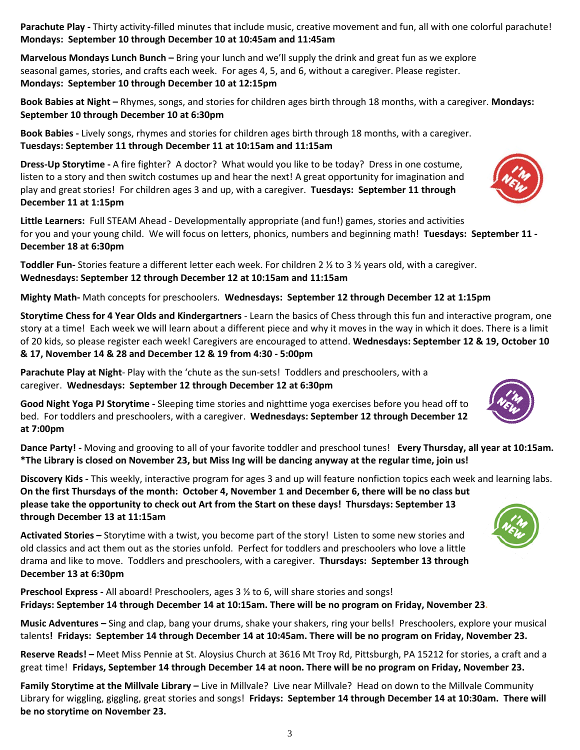3

**Parachute Play -** Thirty activity-filled minutes that include music, creative movement and fun, all with one colorful parachute! **Mondays: September 10 through December 10 at 10:45am and 11:45am**

**Marvelous Mondays Lunch Bunch –** Bring your lunch and we'll supply the drink and great fun as we explore seasonal games, stories, and crafts each week. For ages 4, 5, and 6, without a caregiver. Please register. **Mondays: September 10 through December 10 at 12:15pm**

**Book Babies at Night –** Rhymes, songs, and stories for children ages birth through 18 months, with a caregiver. **Mondays: September 10 through December 10 at 6:30pm**

**Book Babies -** Lively songs, rhymes and stories for children ages birth through 18 months, with a caregiver. **Tuesdays: September 11 through December 11 at 10:15am and 11:15am**

**Dress-Up Storytime -** A fire fighter? A doctor? What would you like to be today? Dress in one costume, listen to a story and then switch costumes up and hear the next! A great opportunity for imagination and play and great stories! For children ages 3 and up, with a caregiver. **Tuesdays: September 11 through December 11 at 1:15pm**

**Little Learners:** Full STEAM Ahead - Developmentally appropriate (and fun!) games, stories and activities for you and your young child. We will focus on letters, phonics, numbers and beginning math! **Tuesdays: September 11 - December 18 at 6:30pm**

**Toddler Fun-** Stories feature a different letter each week. For children 2 ½ to 3 ½ years old, with a caregiver. **Wednesdays: September 12 through December 12 at 10:15am and 11:15am**

**Mighty Math-** Math concepts for preschoolers. **Wednesdays: September 12 through December 12 at 1:15pm** 

**Storytime Chess for 4 Year Olds and Kindergartners** - Learn the basics of Chess through this fun and interactive program, one story at a time! Each week we will learn about a different piece and why it moves in the way in which it does. There is a limit of 20 kids, so please register each week! Caregivers are encouraged to attend. **Wednesdays: September 12 & 19, October 10 & 17, November 14 & 28 and December 12 & 19 from 4:30 - 5:00pm**

**Parachute Play at Night**- Play with the 'chute as the sun-sets! Toddlers and preschoolers, with a caregiver. **Wednesdays: September 12 through December 12 at 6:30pm**

**Good Night Yoga PJ Storytime -** Sleeping time stories and nighttime yoga exercises before you head off to bed. For toddlers and preschoolers, with a caregiver. **Wednesdays: September 12 through December 12 at 7:00pm**

**Dance Party! -** Moving and grooving to all of your favorite toddler and preschool tunes! **Every Thursday, all year at 10:15am.**  \*The Library is closed on November 23, but Miss Ing will be dancing anyway at the regular time, join us!

**Discovery Kids -** This weekly, interactive program for ages 3 and up will feature nonfiction topics each week and learning labs. On the first Thursdays of the month: October 4, November 1 and December 6, there will be no class but **please take the opportunity to check out Art from the Start on these days! Thursdays: September 13 through December 13 at 11:15am**

**Activated Stories –** Storytime with a twist, you become part of the story! Listen to some new stories and old classics and act them out as the stories unfold. Perfect for toddlers and preschoolers who love a little drama and like to move. Toddlers and preschoolers, with a caregiver. **Thursdays: September 13 through December 13 at 6:30pm**

**Preschool Express -** All aboard! Preschoolers, ages 3 ½ to 6, will share stories and songs! **Fridays: September 14 through December 14 at 10:15am. There will be no program on Friday, November 23.**

**Music Adventures –** Sing and clap, bang your drums, shake your shakers, ring your bells! Preschoolers, explore your musical talents**! Fridays: September 14 through December 14 at 10:45am. There will be no program on Friday, November 23.**

**Reserve Reads! –** Meet Miss Pennie at St. Aloysius Church at 3616 Mt Troy Rd, Pittsburgh, PA 15212 for stories, a craft and a great time! Fridays, September 14 through December 14 at noon. There will be no program on Friday, November 23.

**Family Storytime at the Millvale Library –** Live in Millvale? Live near Millvale? Head on down to the Millvale Community Library for wiggling, giggling, great stories and songs! **Fridays: September 14 through December 14 at 10:30am. There will be no storytime on November 23.**





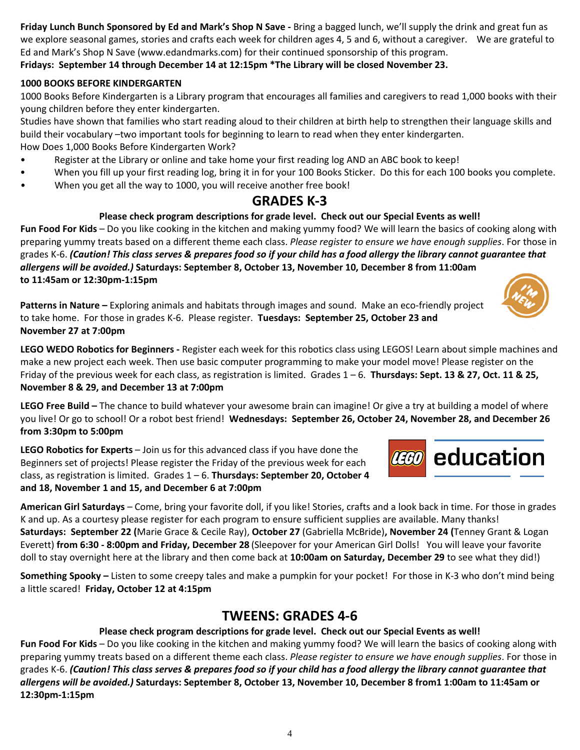**Friday Lunch Bunch Sponsored by Ed and Mark's Shop N Save -** Bring a bagged lunch, we'll supply the drink and great fun as we explore seasonal games, stories and crafts each week for children ages 4, 5 and 6, without a caregiver. We are grateful to Ed and Mark's Shop N Save (www.edandmarks.com) for their continued sponsorship of this program.

### **Fridays: September 14 through December 14 at 12:15pm \*The Library will be closed November 23.**

#### **1000 BOOKS BEFORE KINDERGARTEN**

1000 Books Before Kindergarten is a Library program that encourages all families and caregivers to read 1,000 books with their young children before they enter kindergarten.

Studies have shown that families who start reading aloud to their children at birth help to strengthen their language skills and build their vocabulary –two important tools for beginning to learn to read when they enter kindergarten. How Does 1,000 Books Before Kindergarten Work?

- Register at the Library or online and take home your first reading log AND an ABC book to keep!
- When you fill up your first reading log, bring it in for your 100 Books Sticker. Do this for each 100 books you complete.
- When you get all the way to 1000, you will receive another free book!

### **GRADES K-3**

#### **Please check program descriptions for grade level. Check out our Special Events as well!**

**Fun Food For Kids** – Do you like cooking in the kitchen and making yummy food? We will learn the basics of cooking along with preparing yummy treats based on a different theme each class. *Please register to ensure we have enough supplies*. For those in grades K-6. (Caution! This class serves & prepares food so if your child has a food allergy the library cannot guarantee that *allergens will be avoided.)* **Saturdays: September 8, October 13, November 10, December 8 from 11:00am to 11:45am or 12:30pm-1:15pm**

**Patterns in Nature –** Exploring animals and habitats through images and sound. Make an eco-friendly project to take home. For those in grades K-6. Please register. **Tuesdays: September 25, October 23 and November 27 at 7:00pm**

**LEGO WEDO Robotics for Beginners -** Register each week for this robotics class using LEGOS! Learn about simple machines and make a new project each week. Then use basic computer programming to make your model move! Please register on the Friday of the previous week for each class, as registration is limited. Grades 1 – 6. **Thursdays: Sept. 13 & 27, Oct. 11 & 25, November 8 & 29, and December 13 at 7:00pm**

**LEGO Free Build –** The chance to build whatever your awesome brain can imagine! Or give a try at building a model of where you live! Or go to school! Or a robot best friend! **Wednesdays: September 26, October 24, November 28, and December 26 from 3:30pm to 5:00pm**

**LEGO Robotics for Experts** – Join us for this advanced class if you have done the Beginners set of projects! Please register the Friday of the previous week for each class, as registration is limited. Grades 1 – 6. **Thursdays: September 20, October 4 and 18, November 1 and 15, and December 6 at 7:00pm**

**American Girl Saturdays** – Come, bring your favorite doll, if you like! Stories, crafts and a look back in time. For those in grades K and up. As a courtesy please register for each program to ensure sufficient supplies are available. Many thanks! **Saturdays: September 22 (**Marie Grace & Cecile Ray), **October 27** (Gabriella McBride)**, November 24 (**Tenney Grant & Logan Everett) **from 6:30 - 8:00pm and Friday, December 28** (Sleepover for your American Girl Dolls! You will leave your favorite doll to stay overnight here at the library and then come back at **10:00am on Saturday, December 29** to see what they did!)

**Something Spooky –** Listen to some creepy tales and make a pumpkin for your pocket! For those in K-3 who don't mind being a little scared! **Friday, October 12 at 4:15pm**

### **TWEENS: GRADES 4-6**

#### **Please check program descriptions for grade level. Check out our Special Events as well!**

**Fun Food For Kids** – Do you like cooking in the kitchen and making yummy food? We will learn the basics of cooking along with preparing yummy treats based on a different theme each class. *Please register to ensure we have enough supplies*. For those in grades K-6. (Caution! This class serves & prepares food so if your child has a food allergy the library cannot guarantee that allergens will be avoided.) Saturdays: September 8, October 13, November 10, December 8 from1 1:00am to 11:45am or **12:30pm-1:15pm**



**CGO** education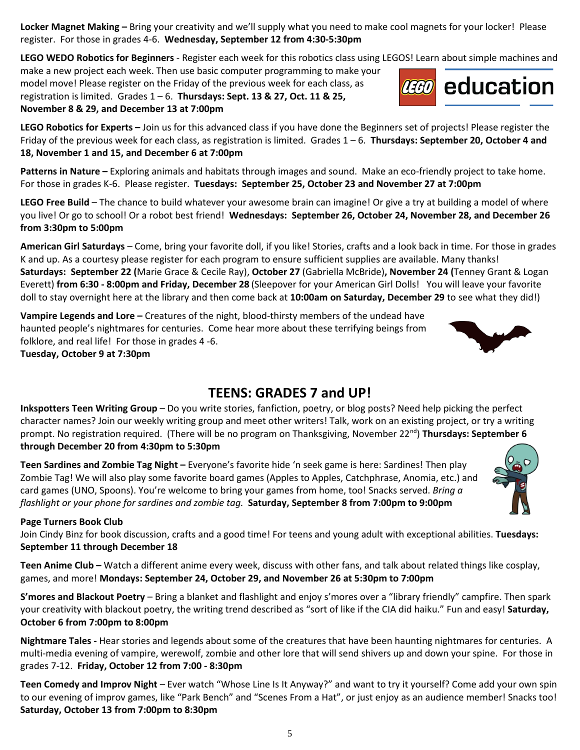**Locker Magnet Making –** Bring your creativity and we'll supply what you need to make cool magnets for your locker! Please register. For those in grades 4-6. **Wednesday, September 12 from 4:30-5:30pm**

**LEGO WEDO Robotics for Beginners** - Register each week for this robotics class using LEGOS! Learn about simple machines and

make a new project each week. Then use basic computer programming to make your model move! Please register on the Friday of the previous week for each class, as registration is limited. Grades 1 – 6. **Thursdays: Sept. 13 & 27, Oct. 11 & 25, November 8 & 29, and December 13 at 7:00pm**

**LEGO Robotics for Experts –** Join us for this advanced class if you have done the Beginners set of projects! Please register the Friday of the previous week for each class, as registration is limited. Grades 1 – 6. **Thursdays: September 20, October 4 and 18, November 1 and 15, and December 6 at 7:00pm**

**Patterns in Nature –** Exploring animals and habitats through images and sound. Make an eco-friendly project to take home. For those in grades K-6. Please register. **Tuesdays: September 25, October 23 and November 27 at 7:00pm**

**LEGO Free Build** – The chance to build whatever your awesome brain can imagine! Or give a try at building a model of where you live! Or go to school! Or a robot best friend! **Wednesdays: September 26, October 24, November 28, and December 26 from 3:30pm to 5:00pm**

**American Girl Saturdays** – Come, bring your favorite doll, if you like! Stories, crafts and a look back in time. For those in grades K and up. As a courtesy please register for each program to ensure sufficient supplies are available. Many thanks! **Saturdays: September 22 (**Marie Grace & Cecile Ray), **October 27** (Gabriella McBride)**, November 24 (**Tenney Grant & Logan Everett) **from 6:30 - 8:00pm and Friday, December 28** (Sleepover for your American Girl Dolls! You will leave your favorite doll to stay overnight here at the library and then come back at **10:00am on Saturday, December 29** to see what they did!)

**Vampire Legends and Lore –** Creatures of the night, blood-thirsty members of the undead have haunted people's nightmares for centuries. Come hear more about these terrifying beings from folklore, and real life! For those in grades 4 -6.

**Tuesday, October 9 at 7:30pm**

### **TEENS: GRADES 7 and UP!**

**Inkspotters Teen Writing Group** – Do you write stories, fanfiction, poetry, or blog posts? Need help picking the perfect character names? Join our weekly writing group and meet other writers! Talk, work on an existing project, or try a writing prompt. No registration required. (There will be no program on Thanksgiving, November 22<sup>nd</sup>) **Thursdays: September 6 through December 20 from 4:30pm to 5:30pm**

**Teen Sardines and Zombie Tag Night –** Everyone's favorite hide 'n seek game is here: Sardines! Then play Zombie Tag! We will also play some favorite board games (Apples to Apples, Catchphrase, Anomia, etc.) and card games (UNO, Spoons). You're welcome to bring your games from home, too! Snacks served. *Bring a flashlight or your phone for sardines and zombie tag.* **Saturday, September 8 from 7:00pm to 9:00pm**

#### **Page Turners Book Club**

Join Cindy Binz for book discussion, crafts and a good time! For teens and young adult with exceptional abilities. **Tuesdays: September 11 through December 18**

**Teen Anime Club –** Watch a different anime every week, discuss with other fans, and talk about related things like cosplay, games, and more! **Mondays: September 24, October 29, and November 26 at 5:30pm to 7:00pm**

**S'mores and Blackout Poetry** – Bring a blanket and flashlight and enjoy s'mores over a "library friendly" campfire. Then spark your creativity with blackout poetry, the writing trend described as "sort of like if the CIA did haiku." Fun and easy! **Saturday, October 6 from 7:00pm to 8:00pm**

**Nightmare Tales -** Hear stories and legends about some of the creatures that have been haunting nightmares for centuries. A multi-media evening of vampire, werewolf, zombie and other lore that will send shivers up and down your spine. For those in grades 7-12. **Friday, October 12 from 7:00 - 8:30pm**

**Teen Comedy and Improv Night** – Ever watch "Whose Line Is It Anyway?" and want to try it yourself? Come add your own spin to our evening of improv games, like "Park Bench" and "Scenes From a Hat", or just enjoy as an audience member! Snacks too! **Saturday, October 13 from 7:00pm to 8:30pm**

5